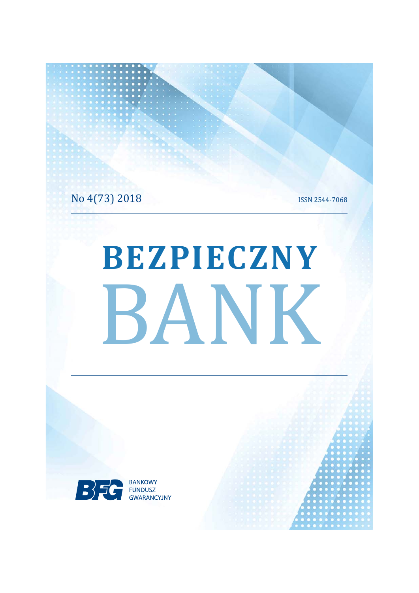No 4(73) 2018

**ISSN 2544-7068** 

# BEZPIECZNY BANK

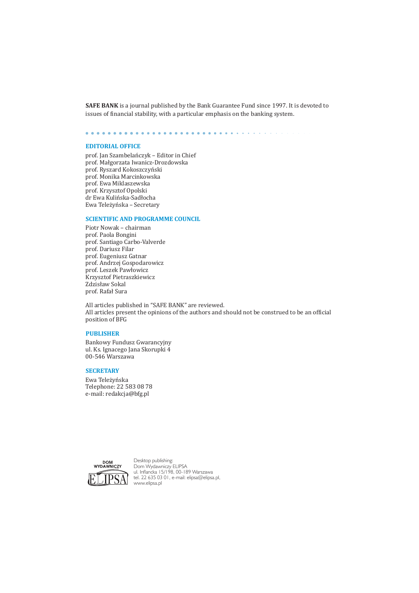**SAFE BANK** is a journal published by the Bank Guarantee Fund since 1997. It is devoted to issues of financial stability, with a particular emphasis on the banking system.

### **EDITORIAL OFFICE**

prof. Jan Szambelańczyk - Editor in Chief prof. Małgorzata Iwanicz-Drozdowska prof. Ryszard Kokoszczyński prof. Monika Marcinkowska prof. Ewa Miklaszewska prof. Krzysztof Opolski dr Ewa Kulińska-Sadłocha Ewa Teleżyńska - Secretary

# **SCIENTIFIC AND PROGRAMME COUNCIL**

Piotr Nowak - chairman prof. Paola Bongini prof. Santiago Carbo-Valverde prof. Dariusz Filar prof. Eugeniusz Gatnar prof. Andrzej Gospodarowicz prof. Leszek Pawłowicz Krzysztof Pietraszkiewicz Zdzisław Sokal prof. Rafał Sura

All articles published in "SAFE BANK" are reviewed. All articles present the opinions of the authors and should not be construed to be an official position of BFG

### **PUBLISHER**

Bankowy Fundusz Gwarancyjny ul. Ks. Ignacego Jana Skorupki 4  $00 - 546$  Warszawa

# **SECRETARY**

Ewa Teleżyńska Telephone: 22 583 08 78 e-mail: redakcja@bfg.pl



Desktop publishing: Dom Wydawniczy ELIPSA ul. Inflancka 15/198, 00-189 Warszawa tel. 22 635 03 01, e-mail: elipsa@elipsa.pl, www.elipsa.pl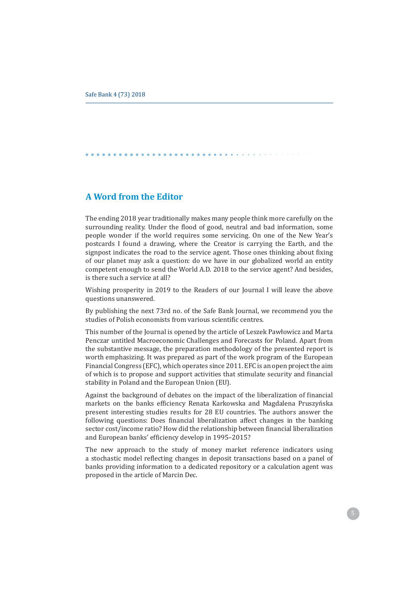# **A Word from the Editor**

The ending 2018 year traditionally makes many people think more carefully on the surrounding reality. Under the flood of good, neutral and bad information, some people wonder if the world requires some servicing. On one of the New Year's postcards I found a drawing, where the Creator is carrying the Earth, and the signpost indicates the road to the service agent. Those ones thinking about fixing of our planet may ask a question; do we have in our globalized world an entity competent enough to send the World A.D. 2018 to the service agent? And besides. is there such a service at all?

Wishing prosperity in 2019 to the Readers of our Journal I will leave the above questions unanswered.

By publishing the next 73rd no. of the Safe Bank Journal, we recommend you the studies of Polish economists from various scientific centres.

This number of the Journal is opened by the article of Leszek Pawłowicz and Marta Penczar untitled Macroeconomic Challenges and Forecasts for Poland. Apart from the substantive message, the preparation methodology of the presented report is worth emphasizing. It was prepared as part of the work program of the European Financial Congress (EFC), which operates since 2011. EFC is an open project the aim of which is to propose and support activities that stimulate security and financial stability in Poland and the European Union (EU).

Against the background of debates on the impact of the liberalization of financial markets on the banks efficiency Renata Karkowska and Magdalena Pruszyńska present interesting studies results for 28 EU countries. The authors answer the following questions: Does financial liberalization affect changes in the banking sector cost/income ratio? How did the relationship between financial liberalization and European banks' efficiency develop in 1995-2015?

The new approach to the study of money market reference indicators using a stochastic model reflecting changes in deposit transactions based on a panel of banks providing information to a dedicated repository or a calculation agent was proposed in the article of Marcin Dec.